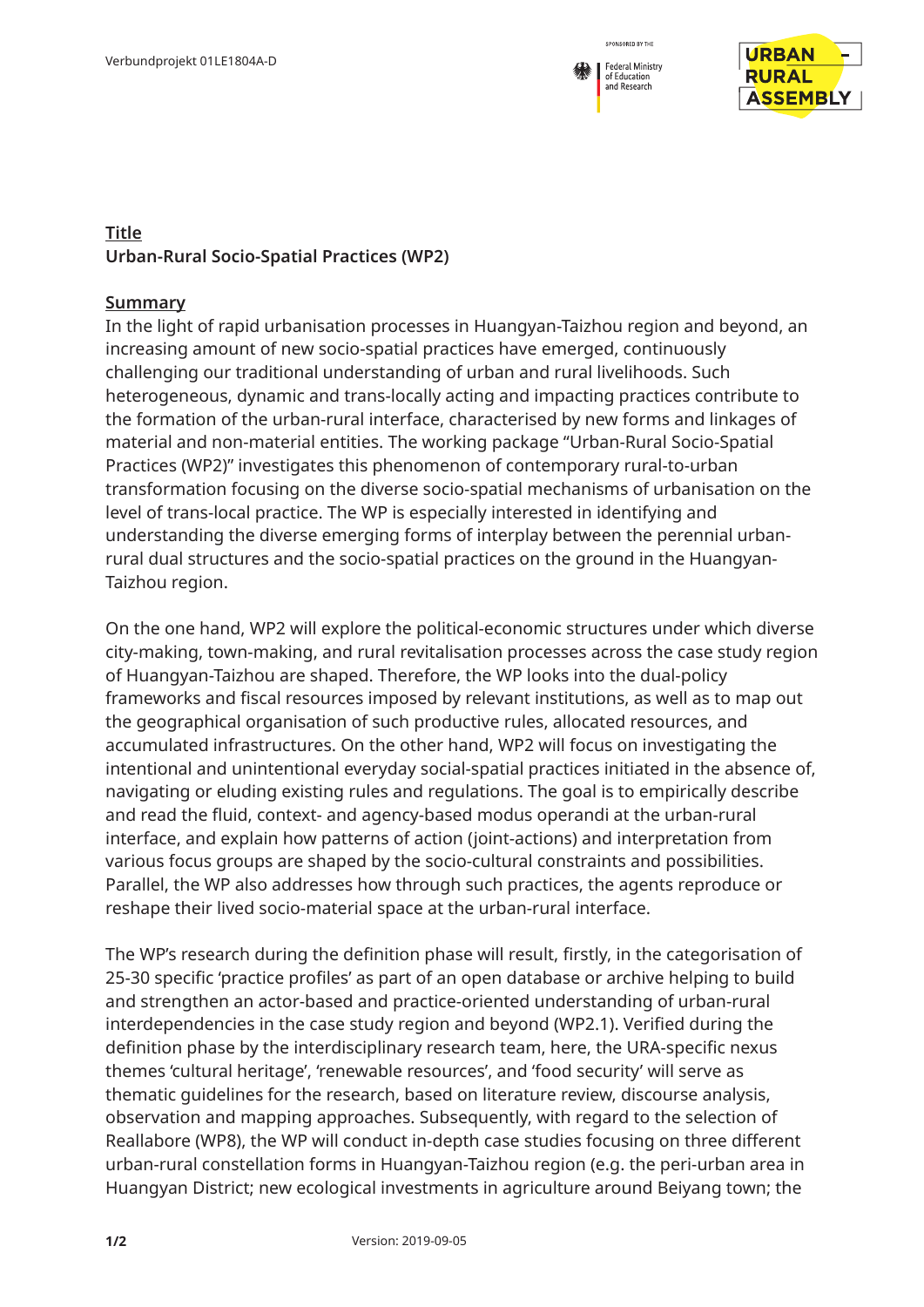



## **Title Urban-Rural Socio-Spatial Practices (WP2)**

## **Summary**

In the light of rapid urbanisation processes in Huangyan-Taizhou region and beyond, an increasing amount of new socio-spatial practices have emerged, continuously challenging our traditional understanding of urban and rural livelihoods. Such heterogeneous, dynamic and trans-locally acting and impacting practices contribute to the formation of the urban-rural interface, characterised by new forms and linkages of material and non-material entities. The working package "Urban-Rural Socio-Spatial Practices (WP2)" investigates this phenomenon of contemporary rural-to-urban transformation focusing on the diverse socio-spatial mechanisms of urbanisation on the level of trans-local practice. The WP is especially interested in identifying and understanding the diverse emerging forms of interplay between the perennial urbanrural dual structures and the socio-spatial practices on the ground in the Huangyan-Taizhou region.

On the one hand, WP2 will explore the political-economic structures under which diverse city-making, town-making, and rural revitalisation processes across the case study region of Huangyan-Taizhou are shaped. Therefore, the WP looks into the dual-policy frameworks and fiscal resources imposed by relevant institutions, as well as to map out the geographical organisation of such productive rules, allocated resources, and accumulated infrastructures. On the other hand, WP2 will focus on investigating the intentional and unintentional everyday social-spatial practices initiated in the absence of, navigating or eluding existing rules and regulations. The goal is to empirically describe and read the fluid, context- and agency-based modus operandi at the urban-rural interface, and explain how patterns of action (joint-actions) and interpretation from various focus groups are shaped by the socio-cultural constraints and possibilities. Parallel, the WP also addresses how through such practices, the agents reproduce or reshape their lived socio-material space at the urban-rural interface.

The WP's research during the definition phase will result, firstly, in the categorisation of 25-30 specific 'practice profiles' as part of an open database or archive helping to build and strengthen an actor-based and practice-oriented understanding of urban-rural interdependencies in the case study region and beyond (WP2.1). Verified during the definition phase by the interdisciplinary research team, here, the URA-specific nexus themes 'cultural heritage', 'renewable resources', and 'food security' will serve as thematic guidelines for the research, based on literature review, discourse analysis, observation and mapping approaches. Subsequently, with regard to the selection of Reallabore (WP8), the WP will conduct in-depth case studies focusing on three different urban-rural constellation forms in Huangyan-Taizhou region (e.g. the peri-urban area in Huangyan District; new ecological investments in agriculture around Beiyang town; the